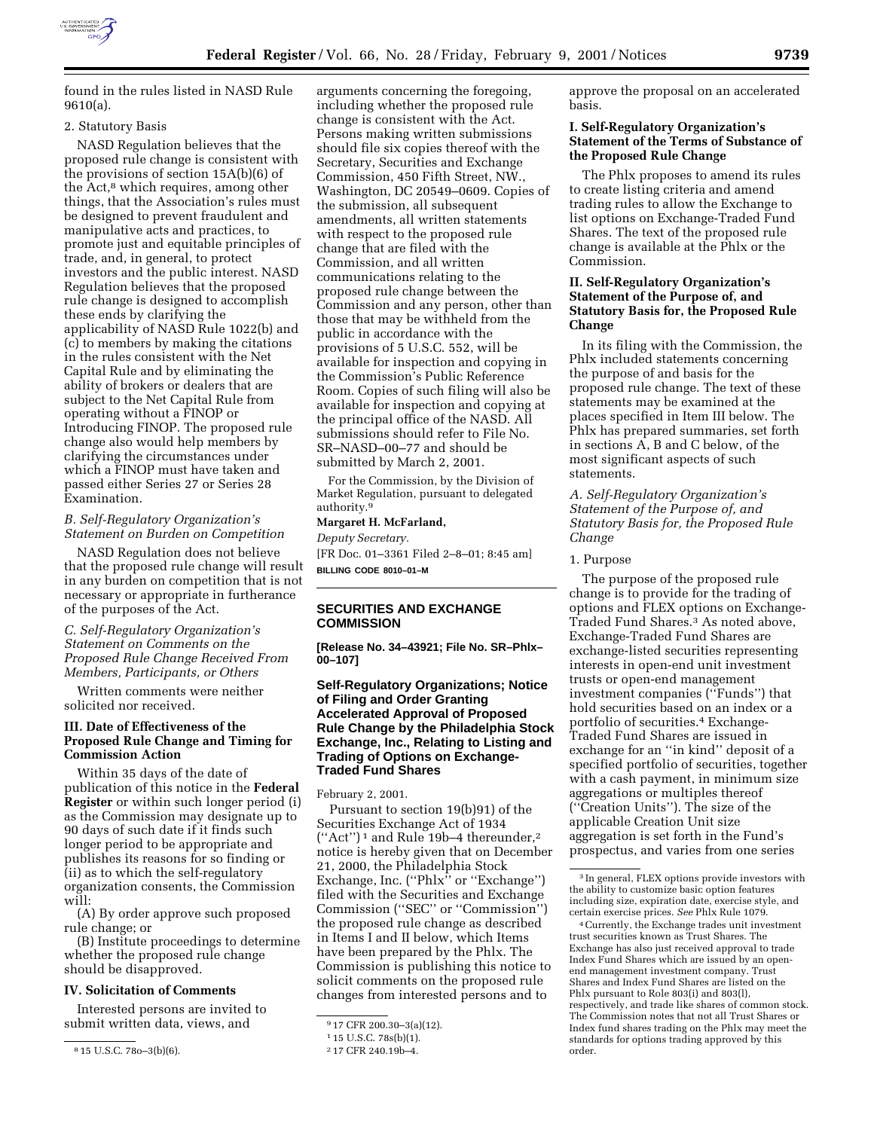

found in the rules listed in NASD Rule 9610(a).

#### 2. Statutory Basis

NASD Regulation believes that the proposed rule change is consistent with the provisions of section 15A(b)(6) of the Act,<sup>8</sup> which requires, among other things, that the Association's rules must be designed to prevent fraudulent and manipulative acts and practices, to promote just and equitable principles of trade, and, in general, to protect investors and the public interest. NASD Regulation believes that the proposed rule change is designed to accomplish these ends by clarifying the applicability of NASD Rule 1022(b) and (c) to members by making the citations in the rules consistent with the Net Capital Rule and by eliminating the ability of brokers or dealers that are subject to the Net Capital Rule from operating without a FINOP or Introducing FINOP. The proposed rule change also would help members by clarifying the circumstances under which a FINOP must have taken and passed either Series 27 or Series 28 Examination.

# *B. Self-Regulatory Organization's Statement on Burden on Competition*

NASD Regulation does not believe that the proposed rule change will result in any burden on competition that is not necessary or appropriate in furtherance of the purposes of the Act.

*C. Self-Regulatory Organization's Statement on Comments on the Proposed Rule Change Received From Members, Participants, or Others*

Written comments were neither solicited nor received.

### **III. Date of Effectiveness of the Proposed Rule Change and Timing for Commission Action**

Within 35 days of the date of publication of this notice in the **Federal Register** or within such longer period (i) as the Commission may designate up to 90 days of such date if it finds such longer period to be appropriate and publishes its reasons for so finding or (ii) as to which the self-regulatory organization consents, the Commission will:

(A) By order approve such proposed rule change; or

(B) Institute proceedings to determine whether the proposed rule change should be disapproved.

### **IV. Solicitation of Comments**

Interested persons are invited to submit written data, views, and

arguments concerning the foregoing, including whether the proposed rule change is consistent with the Act. Persons making written submissions should file six copies thereof with the Secretary, Securities and Exchange Commission, 450 Fifth Street, NW., Washington, DC 20549–0609. Copies of the submission, all subsequent amendments, all written statements with respect to the proposed rule change that are filed with the Commission, and all written communications relating to the proposed rule change between the Commission and any person, other than those that may be withheld from the public in accordance with the provisions of 5 U.S.C. 552, will be available for inspection and copying in the Commission's Public Reference Room. Copies of such filing will also be available for inspection and copying at the principal office of the NASD. All submissions should refer to File No. SR–NASD–00–77 and should be submitted by March 2, 2001.

For the Commission, by the Division of Market Regulation, pursuant to delegated authority.9

#### **Margaret H. McFarland,**

*Deputy Secretary.* [FR Doc. 01–3361 Filed 2–8–01; 8:45 am] **BILLING CODE 8010–01–M**

### **SECURITIES AND EXCHANGE COMMISSION**

**[Release No. 34–43921; File No. SR–Phlx– 00–107]**

### **Self-Regulatory Organizations; Notice of Filing and Order Granting Accelerated Approval of Proposed Rule Change by the Philadelphia Stock Exchange, Inc., Relating to Listing and Trading of Options on Exchange-Traded Fund Shares**

February 2, 2001.

Pursuant to section 19(b)91) of the Securities Exchange Act of 1934 (''Act'') 1 and Rule 19b–4 thereunder,2 notice is hereby given that on December 21, 2000, the Philadelphia Stock Exchange, Inc. (''Phlx'' or ''Exchange'') filed with the Securities and Exchange Commission (''SEC'' or ''Commission'') the proposed rule change as described in Items I and II below, which Items have been prepared by the Phlx. The Commission is publishing this notice to solicit comments on the proposed rule changes from interested persons and to

approve the proposal on an accelerated basis.

### **I. Self-Regulatory Organization's Statement of the Terms of Substance of the Proposed Rule Change**

The Phlx proposes to amend its rules to create listing criteria and amend trading rules to allow the Exchange to list options on Exchange-Traded Fund Shares. The text of the proposed rule change is available at the Phlx or the Commission.

### **II. Self-Regulatory Organization's Statement of the Purpose of, and Statutory Basis for, the Proposed Rule Change**

In its filing with the Commission, the Phlx included statements concerning the purpose of and basis for the proposed rule change. The text of these statements may be examined at the places specified in Item III below. The Phlx has prepared summaries, set forth in sections A, B and C below, of the most significant aspects of such statements.

*A. Self-Regulatory Organization's Statement of the Purpose of, and Statutory Basis for, the Proposed Rule Change*

#### 1. Purpose

The purpose of the proposed rule change is to provide for the trading of options and FLEX options on Exchange-Traded Fund Shares.<sup>3</sup> As noted above, Exchange-Traded Fund Shares are exchange-listed securities representing interests in open-end unit investment trusts or open-end management investment companies (''Funds'') that hold securities based on an index or a portfolio of securities.4 Exchange-Traded Fund Shares are issued in exchange for an ''in kind'' deposit of a specified portfolio of securities, together with a cash payment, in minimum size aggregations or multiples thereof (''Creation Units''). The size of the applicable Creation Unit size aggregation is set forth in the Fund's prospectus, and varies from one series

4Currently, the Exchange trades unit investment trust securities known as Trust Shares. The Exchange has also just received approval to trade Index Fund Shares which are issued by an openend management investment company. Trust Shares and Index Fund Shares are listed on the Phlx pursuant to Role 803(i) and 803(l), respectively, and trade like shares of common stock. The Commission notes that not all Trust Shares or Index fund shares trading on the Phlx may meet the standards for options trading approved by this order.

<sup>8</sup> 15 U.S.C. 78o–3(b)(6).

<sup>9</sup> 17 CFR 200.30–3(a)(12).

<sup>1</sup> 15 U.S.C. 78s(b)(1).

<sup>2</sup> 17 CFR 240.19b–4.

<sup>3</sup> In general, FLEX options provide investors with the ability to customize basic option features including size, expiration date, exercise style, and certain exercise prices. *See* Phlx Rule 1079.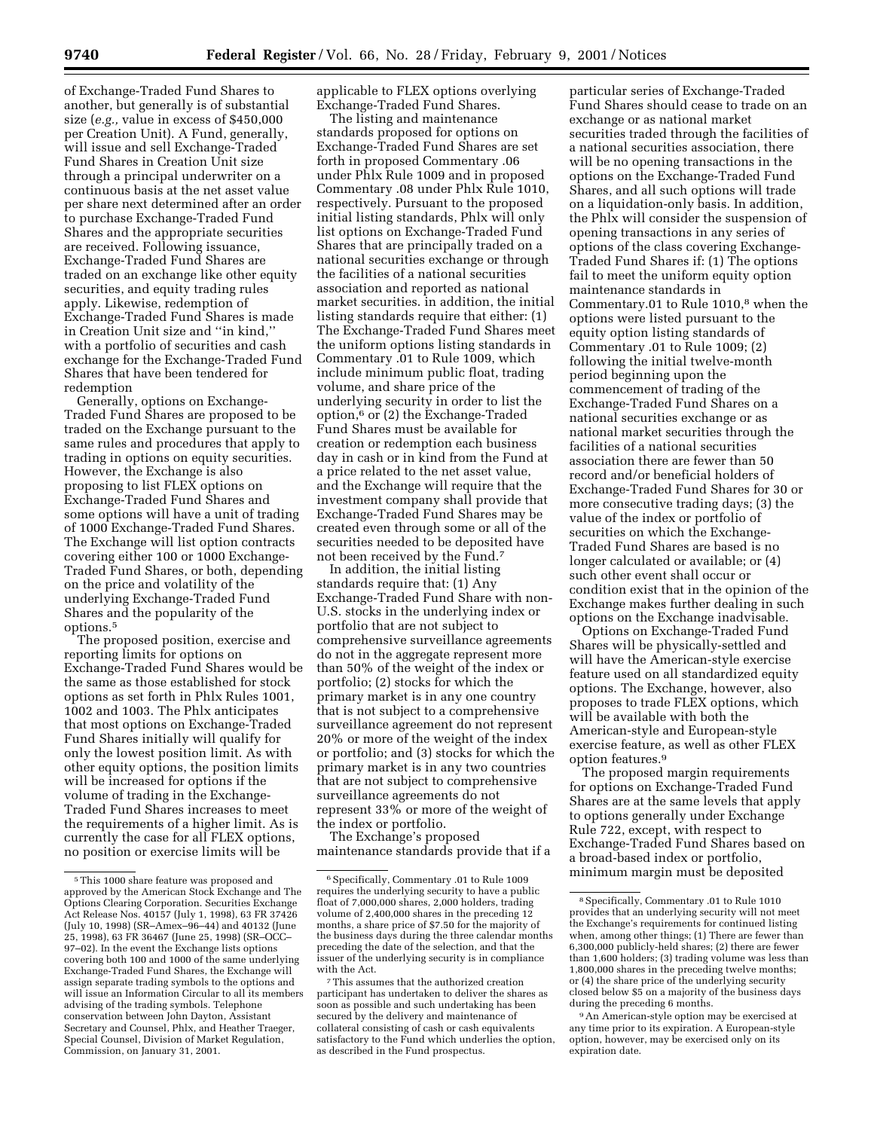of Exchange-Traded Fund Shares to another, but generally is of substantial size (*e.g.,* value in excess of \$450,000 per Creation Unit). A Fund, generally, will issue and sell Exchange-Traded Fund Shares in Creation Unit size through a principal underwriter on a continuous basis at the net asset value per share next determined after an order to purchase Exchange-Traded Fund Shares and the appropriate securities are received. Following issuance, Exchange-Traded Fund Shares are traded on an exchange like other equity securities, and equity trading rules apply. Likewise, redemption of Exchange-Traded Fund Shares is made in Creation Unit size and ''in kind,'' with a portfolio of securities and cash exchange for the Exchange-Traded Fund Shares that have been tendered for redemption

Generally, options on Exchange-Traded Fund Shares are proposed to be traded on the Exchange pursuant to the same rules and procedures that apply to trading in options on equity securities. However, the Exchange is also proposing to list FLEX options on Exchange-Traded Fund Shares and some options will have a unit of trading of 1000 Exchange-Traded Fund Shares. The Exchange will list option contracts covering either 100 or 1000 Exchange-Traded Fund Shares, or both, depending on the price and volatility of the underlying Exchange-Traded Fund Shares and the popularity of the options.5

The proposed position, exercise and reporting limits for options on Exchange-Traded Fund Shares would be the same as those established for stock options as set forth in Phlx Rules 1001, 1002 and 1003. The Phlx anticipates that most options on Exchange-Traded Fund Shares initially will qualify for only the lowest position limit. As with other equity options, the position limits will be increased for options if the volume of trading in the Exchange-Traded Fund Shares increases to meet the requirements of a higher limit. As is currently the case for all FLEX options, no position or exercise limits will be

applicable to FLEX options overlying Exchange-Traded Fund Shares.

The listing and maintenance standards proposed for options on Exchange-Traded Fund Shares are set forth in proposed Commentary .06 under Phlx Rule 1009 and in proposed Commentary .08 under Phlx Rule 1010, respectively. Pursuant to the proposed initial listing standards, Phlx will only list options on Exchange-Traded Fund Shares that are principally traded on a national securities exchange or through the facilities of a national securities association and reported as national market securities. in addition, the initial listing standards require that either: (1) The Exchange-Traded Fund Shares meet the uniform options listing standards in Commentary .01 to Rule 1009, which include minimum public float, trading volume, and share price of the underlying security in order to list the option,6 or (2) the Exchange-Traded Fund Shares must be available for creation or redemption each business day in cash or in kind from the Fund at a price related to the net asset value, and the Exchange will require that the investment company shall provide that Exchange-Traded Fund Shares may be created even through some or all of the securities needed to be deposited have not been received by the Fund.7

In addition, the initial listing standards require that: (1) Any Exchange-Traded Fund Share with non-U.S. stocks in the underlying index or portfolio that are not subject to comprehensive surveillance agreements do not in the aggregate represent more than 50% of the weight of the index or portfolio; (2) stocks for which the primary market is in any one country that is not subject to a comprehensive surveillance agreement do not represent 20% or more of the weight of the index or portfolio; and (3) stocks for which the primary market is in any two countries that are not subject to comprehensive surveillance agreements do not represent 33% or more of the weight of the index or portfolio.

The Exchange's proposed maintenance standards provide that if a

particular series of Exchange-Traded Fund Shares should cease to trade on an exchange or as national market securities traded through the facilities of a national securities association, there will be no opening transactions in the options on the Exchange-Traded Fund Shares, and all such options will trade on a liquidation-only basis. In addition, the Phlx will consider the suspension of opening transactions in any series of options of the class covering Exchange-Traded Fund Shares if: (1) The options fail to meet the uniform equity option maintenance standards in Commentary.01 to Rule 1010,<sup>8</sup> when the options were listed pursuant to the equity option listing standards of Commentary .01 to Rule 1009; (2) following the initial twelve-month period beginning upon the commencement of trading of the Exchange-Traded Fund Shares on a national securities exchange or as national market securities through the facilities of a national securities association there are fewer than 50 record and/or beneficial holders of Exchange-Traded Fund Shares for 30 or more consecutive trading days; (3) the value of the index or portfolio of securities on which the Exchange-Traded Fund Shares are based is no longer calculated or available; or (4) such other event shall occur or condition exist that in the opinion of the Exchange makes further dealing in such options on the Exchange inadvisable.

Options on Exchange-Traded Fund Shares will be physically-settled and will have the American-style exercise feature used on all standardized equity options. The Exchange, however, also proposes to trade FLEX options, which will be available with both the American-style and European-style exercise feature, as well as other FLEX option features.9

The proposed margin requirements for options on Exchange-Traded Fund Shares are at the same levels that apply to options generally under Exchange Rule 722, except, with respect to Exchange-Traded Fund Shares based on a broad-based index or portfolio, minimum margin must be deposited

9An American-style option may be exercised at any time prior to its expiration. A European-style option, however, may be exercised only on its expiration date.

<sup>5</sup>This 1000 share feature was proposed and approved by the American Stock Exchange and The Options Clearing Corporation. Securities Exchange Act Release Nos. 40157 (July 1, 1998), 63 FR 37426 (July 10, 1998) (SR–Amex–96–44) and 40132 (June 25, 1998), 63 FR 36467 (June 25, 1998) (SR–OCC– 97–02). In the event the Exchange lists options covering both 100 and 1000 of the same underlying Exchange-Traded Fund Shares, the Exchange will assign separate trading symbols to the options and will issue an Information Circular to all its members advising of the trading symbols. Telephone conservation between John Dayton, Assistant Secretary and Counsel, Phlx, and Heather Traeger, Special Counsel, Division of Market Regulation, Commission, on January 31, 2001.

<sup>6</sup>Specifically, Commentary .01 to Rule 1009 requires the underlying security to have a public float of 7,000,000 shares, 2,000 holders, trading volume of 2,400,000 shares in the preceding 12 months, a share price of \$7.50 for the majority of the business days during the three calendar months preceding the date of the selection, and that the issuer of the underlying security is in compliance with the Act.

<sup>7</sup>This assumes that the authorized creation participant has undertaken to deliver the shares as soon as possible and such undertaking has been secured by the delivery and maintenance of collateral consisting of cash or cash equivalents satisfactory to the Fund which underlies the option, as described in the Fund prospectus.

<sup>8</sup>Specifically, Commentary .01 to Rule 1010 provides that an underlying security will not meet the Exchange's requirements for continued listing when, among other things; (1) There are fewer than 6,300,000 publicly-held shares; (2) there are fewer than 1,600 holders; (3) trading volume was less than 1,800,000 shares in the preceding twelve months; or (4) the share price of the underlying security closed below \$5 on a majority of the business days during the preceding 6 months.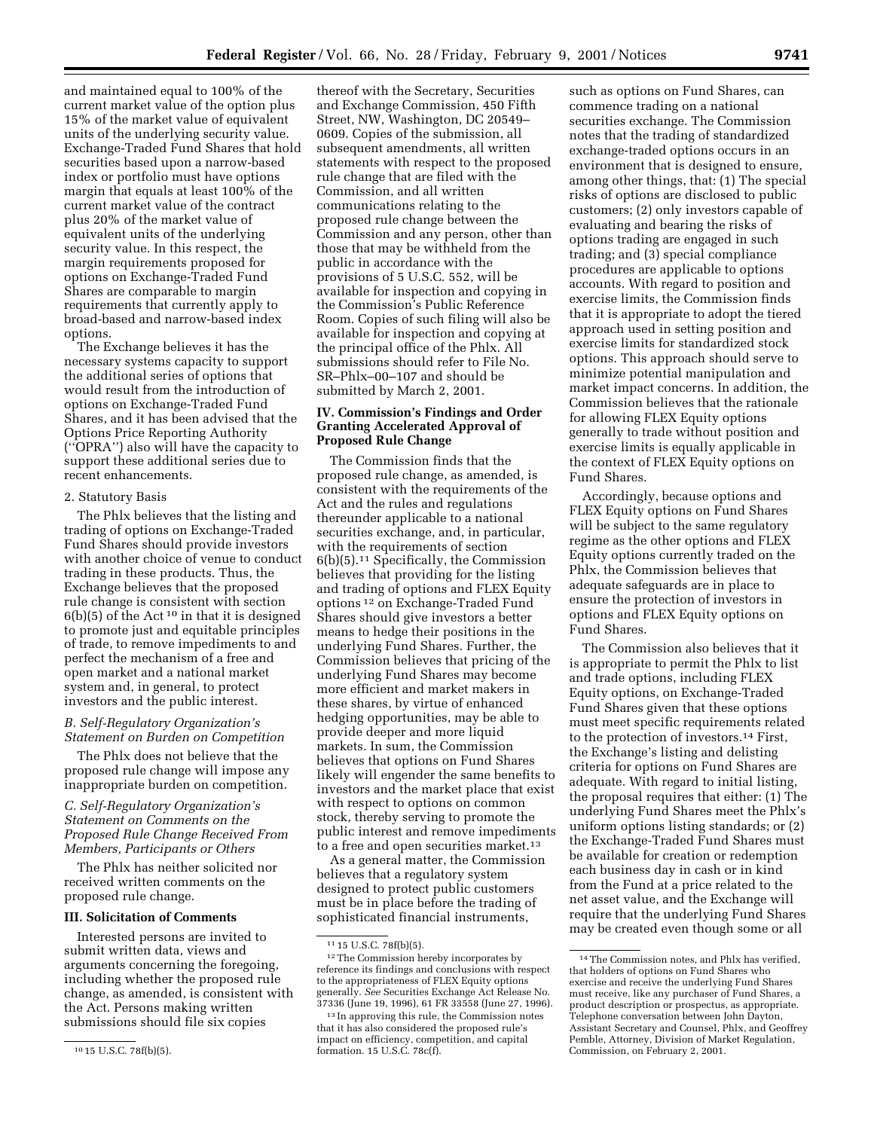and maintained equal to 100% of the current market value of the option plus 15% of the market value of equivalent units of the underlying security value. Exchange-Traded Fund Shares that hold securities based upon a narrow-based index or portfolio must have options margin that equals at least 100% of the current market value of the contract plus 20% of the market value of equivalent units of the underlying security value. In this respect, the margin requirements proposed for options on Exchange-Traded Fund Shares are comparable to margin requirements that currently apply to broad-based and narrow-based index options.

The Exchange believes it has the necessary systems capacity to support the additional series of options that would result from the introduction of options on Exchange-Traded Fund Shares, and it has been advised that the Options Price Reporting Authority (''OPRA'') also will have the capacity to support these additional series due to recent enhancements.

### 2. Statutory Basis

The Phlx believes that the listing and trading of options on Exchange-Traded Fund Shares should provide investors with another choice of venue to conduct trading in these products. Thus, the Exchange believes that the proposed rule change is consistent with section  $6(b)(5)$  of the Act<sup>10</sup> in that it is designed to promote just and equitable principles of trade, to remove impediments to and perfect the mechanism of a free and open market and a national market system and, in general, to protect investors and the public interest.

# *B. Self-Regulatory Organization's Statement on Burden on Competition*

The Phlx does not believe that the proposed rule change will impose any inappropriate burden on competition.

### *C. Self-Regulatory Organization's Statement on Comments on the Proposed Rule Change Received From Members, Participants or Others*

The Phlx has neither solicited nor received written comments on the proposed rule change.

### **III. Solicitation of Comments**

Interested persons are invited to submit written data, views and arguments concerning the foregoing, including whether the proposed rule change, as amended, is consistent with the Act. Persons making written submissions should file six copies

thereof with the Secretary, Securities and Exchange Commission, 450 Fifth Street, NW, Washington, DC 20549– 0609. Copies of the submission, all subsequent amendments, all written statements with respect to the proposed rule change that are filed with the Commission, and all written communications relating to the proposed rule change between the Commission and any person, other than those that may be withheld from the public in accordance with the provisions of 5 U.S.C. 552, will be available for inspection and copying in the Commission's Public Reference Room. Copies of such filing will also be available for inspection and copying at the principal office of the Phlx. All submissions should refer to File No. SR–Phlx–00–107 and should be submitted by March 2, 2001.

# **IV. Commission's Findings and Order Granting Accelerated Approval of Proposed Rule Change**

The Commission finds that the proposed rule change, as amended, is consistent with the requirements of the Act and the rules and regulations thereunder applicable to a national securities exchange, and, in particular, with the requirements of section 6(b)(5).11 Specifically, the Commission believes that providing for the listing and trading of options and FLEX Equity options 12 on Exchange-Traded Fund Shares should give investors a better means to hedge their positions in the underlying Fund Shares. Further, the Commission believes that pricing of the underlying Fund Shares may become more efficient and market makers in these shares, by virtue of enhanced hedging opportunities, may be able to provide deeper and more liquid markets. In sum, the Commission believes that options on Fund Shares likely will engender the same benefits to investors and the market place that exist with respect to options on common stock, thereby serving to promote the public interest and remove impediments to a free and open securities market.13

As a general matter, the Commission believes that a regulatory system designed to protect public customers must be in place before the trading of sophisticated financial instruments,

such as options on Fund Shares, can commence trading on a national securities exchange. The Commission notes that the trading of standardized exchange-traded options occurs in an environment that is designed to ensure, among other things, that: (1) The special risks of options are disclosed to public customers; (2) only investors capable of evaluating and bearing the risks of options trading are engaged in such trading; and (3) special compliance procedures are applicable to options accounts. With regard to position and exercise limits, the Commission finds that it is appropriate to adopt the tiered approach used in setting position and exercise limits for standardized stock options. This approach should serve to minimize potential manipulation and market impact concerns. In addition, the Commission believes that the rationale for allowing FLEX Equity options generally to trade without position and exercise limits is equally applicable in the context of FLEX Equity options on Fund Shares.

Accordingly, because options and FLEX Equity options on Fund Shares will be subject to the same regulatory regime as the other options and FLEX Equity options currently traded on the Phlx, the Commission believes that adequate safeguards are in place to ensure the protection of investors in options and FLEX Equity options on Fund Shares.

The Commission also believes that it is appropriate to permit the Phlx to list and trade options, including FLEX Equity options, on Exchange-Traded Fund Shares given that these options must meet specific requirements related to the protection of investors.14 First, the Exchange's listing and delisting criteria for options on Fund Shares are adequate. With regard to initial listing, the proposal requires that either: (1) The underlying Fund Shares meet the Phlx's uniform options listing standards; or (2) the Exchange-Traded Fund Shares must be available for creation or redemption each business day in cash or in kind from the Fund at a price related to the net asset value, and the Exchange will require that the underlying Fund Shares may be created even though some or all

<sup>10</sup> 15 U.S.C. 78f(b)(5).

<sup>11</sup> 15 U.S.C. 78f(b)(5).

<sup>12</sup>The Commission hereby incorporates by reference its findings and conclusions with respect to the appropriateness of FLEX Equity options generally. *See* Securities Exchange Act Release No. 37336 (June 19, 1996), 61 FR 33558 (June 27, 1996).

<sup>13</sup> In approving this rule, the Commission notes that it has also considered the proposed rule's impact on efficiency, competition, and capital formation. 15 U.S.C. 78c(f).

<sup>14</sup>The Commission notes, and Phlx has verified, that holders of options on Fund Shares who exercise and receive the underlying Fund Shares must receive, like any purchaser of Fund Shares, a product description or prospectus, as appropriate. Telephone conversation between John Dayton, Assistant Secretary and Counsel, Phlx, and Geoffrey Pemble, Attorney, Division of Market Regulation, Commission, on February 2, 2001.